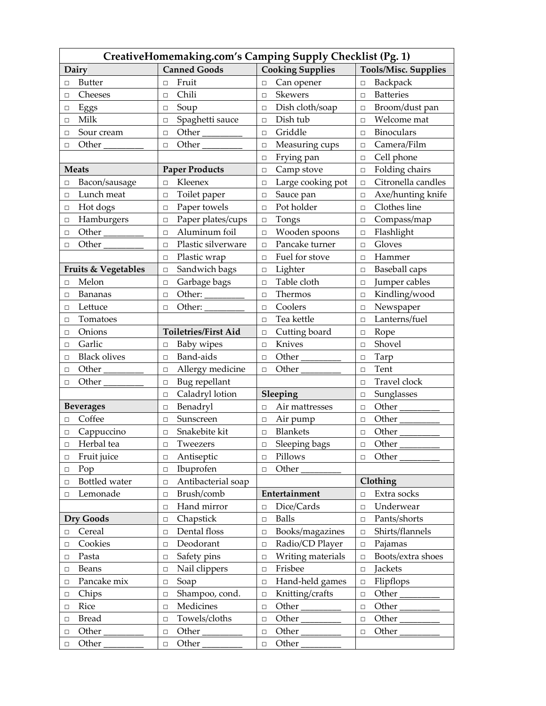| CreativeHomemaking.com's Camping Supply Checklist (Pg. 1) |                              |                         |                             |
|-----------------------------------------------------------|------------------------------|-------------------------|-----------------------------|
| Dairy                                                     | <b>Canned Goods</b>          | <b>Cooking Supplies</b> | <b>Tools/Misc. Supplies</b> |
| <b>Butter</b>                                             | Fruit                        | Can opener              | Backpack                    |
| П                                                         | $\Box$                       | $\Box$                  | $\Box$                      |
| Cheeses                                                   | Chili                        | Skewers                 | <b>Batteries</b>            |
| $\Box$                                                    | $\Box$                       | $\Box$                  | $\Box$                      |
| Eggs                                                      | Soup                         | Dish cloth/soap         | Broom/dust pan              |
| □                                                         | $\Box$                       | $\Box$                  | □                           |
| Milk                                                      | Spaghetti sauce              | Dish tub                | Welcome mat                 |
| $\Box$                                                    | $\Box$                       | $\Box$                  | П                           |
| Sour cream                                                | Other                        | Griddle                 | <b>Binoculars</b>           |
| □                                                         | $\Box$                       | $\Box$                  | $\Box$                      |
| Other                                                     | Other                        | Measuring cups          | Camera/Film                 |
| □                                                         | $\Box$                       | $\Box$                  | □                           |
|                                                           |                              | Frying pan<br>$\Box$    | Cell phone<br>□             |
| <b>Meats</b>                                              | <b>Paper Products</b>        | Camp stove<br>$\Box$    | Folding chairs<br>$\Box$    |
| Bacon/sausage                                             | Kleenex                      | Large cooking pot       | Citronella candles          |
| □                                                         | $\Box$                       | $\Box$                  | $\Box$                      |
| Lunch meat                                                | Toilet paper                 | Sauce pan               | Axe/hunting knife           |
| П                                                         | $\Box$                       | $\Box$                  | □                           |
| Hot dogs                                                  | Paper towels                 | Pot holder              | Clothes line                |
| $\Box$                                                    | $\Box$                       | $\Box$                  | $\Box$                      |
| Hamburgers                                                | Paper plates/cups            | Tongs                   | Compass/map                 |
| $\Box$                                                    | $\Box$                       | $\Box$                  | □                           |
| Other                                                     | Aluminum foil                | Wooden spoons           | Flashlight                  |
| $\Box$                                                    | $\Box$                       | $\Box$                  | $\Box$                      |
| Other                                                     | Plastic silverware           | Pancake turner          | Gloves                      |
| $\Box$                                                    | $\Box$                       | $\Box$                  | $\Box$                      |
|                                                           | Plastic wrap                 | Fuel for stove          | Hammer                      |
|                                                           | $\Box$                       | $\Box$                  | П                           |
| Fruits & Vegetables                                       | Sandwich bags                | Lighter                 | Baseball caps               |
|                                                           | $\Box$                       | $\Box$                  | □                           |
| Melon                                                     | Garbage bags                 | Table cloth             | Jumper cables               |
| $\Box$                                                    | $\Box$                       | П                       | □                           |
| Bananas                                                   | Other:                       | Thermos                 | Kindling/wood               |
| □                                                         | $\Box$                       | $\Box$                  | $\Box$                      |
| Lettuce                                                   | Other:                       | Coolers                 | Newspaper                   |
| □                                                         | $\Box$                       | $\Box$                  | $\Box$                      |
| Tomatoes                                                  |                              | Tea kettle              | Lanterns/fuel               |
| $\Box$                                                    |                              | $\Box$                  | $\Box$                      |
| Onions                                                    | <b>Toiletries/First Aid</b>  | Cutting board           | Rope                        |
| □                                                         |                              | $\Box$                  | □                           |
| Garlic                                                    | Baby wipes                   | Knives                  | Shovel                      |
| □                                                         | $\Box$                       | $\Box$                  | П                           |
| <b>Black olives</b>                                       | Band-aids                    | Other                   | Tarp                        |
| $\Box$                                                    | $\Box$                       | $\Box$                  | $\Box$                      |
| Other                                                     | Allergy medicine             | Other                   | Tent                        |
| □                                                         | $\Box$                       | $\Box$                  | $\Box$                      |
| Other                                                     | Bug repellant                |                         | Travel clock                |
| □                                                         | $\Box$                       |                         | П                           |
|                                                           | Caladryl lotion<br>$\Box$    | Sleeping                | Sunglasses<br>$\Box$        |
| <b>Beverages</b>                                          | Benadryl                     | Air mattresses          | Other                       |
|                                                           | $\Box$                       | $\Box$                  | □                           |
| Coffee                                                    | Sunscreen                    | Air pump                | Other                       |
| $\Box$                                                    | $\Box$                       | $\Box$                  | $\Box$                      |
| Cappuccino                                                | Snakebite kit                | <b>Blankets</b>         | Other                       |
| $\Box$                                                    | $\Box$                       | $\Box$                  | $\Box$                      |
| Herbal tea                                                | Tweezers                     | Sleeping bags           | Other                       |
| $\Box$                                                    | $\Box$                       | $\Box$                  | $\Box$                      |
| Fruit juice                                               | Antiseptic                   | Pillows                 | Other                       |
| □                                                         | $\Box$                       | $\Box$                  | $\Box$                      |
| Pop                                                       | Ibuprofen                    | Other                   |                             |
| $\Box$                                                    | $\Box$                       | $\Box$                  |                             |
| Bottled water<br>$\Box$                                   | Antibacterial soap<br>$\Box$ |                         | Clothing                    |
| Lemonade                                                  | Brush/comb                   | Entertainment           | Extra socks                 |
| $\Box$                                                    | $\Box$                       |                         | $\Box$                      |
|                                                           | Hand mirror                  | Dice/Cards              | Underwear                   |
|                                                           | $\Box$                       | $\Box$                  | $\Box$                      |
| <b>Dry Goods</b>                                          | Chapstick                    | <b>Balls</b>            | Pants/shorts                |
|                                                           | $\Box$                       | $\Box$                  | ◻                           |
| Cereal                                                    | Dental floss                 | Books/magazines         | Shirts/flannels             |
| $\Box$                                                    | $\Box$                       | $\Box$                  | □                           |
| Cookies                                                   | Deodorant                    | Radio/CD Player         | Pajamas                     |
| $\Box$                                                    | $\Box$                       | $\Box$                  | $\Box$                      |
| Pasta                                                     | Safety pins                  | Writing materials       | Boots/extra shoes           |
| □                                                         | $\Box$                       | $\Box$                  | $\Box$                      |
| Beans                                                     | Nail clippers                | Frisbee                 | Jackets                     |
| $\Box$                                                    | $\Box$                       | $\Box$                  | $\Box$                      |
| Pancake mix                                               | Soap                         | Hand-held games         | Flipflops                   |
| $\Box$                                                    | $\Box$                       | $\Box$                  | $\Box$                      |
| Chips                                                     | Shampoo, cond.               | Knitting/crafts         | Other                       |
| $\Box$                                                    | $\Box$                       | $\Box$                  | ◻                           |
| Rice                                                      | Medicines                    | Other                   | Other                       |
| $\Box$                                                    | $\Box$                       | $\Box$                  | $\Box$                      |
| <b>Bread</b>                                              | Towels/cloths                | Other                   | Other                       |
| $\Box$                                                    | $\Box$                       | $\Box$                  | $\Box$                      |
| Other                                                     | Other                        | Other                   | Other                       |
| $\Box$                                                    | $\Box$                       | $\Box$                  | ◻                           |
| Other                                                     | Other                        | Other                   |                             |
| $\Box$                                                    | $\Box$                       | $\Box$                  |                             |